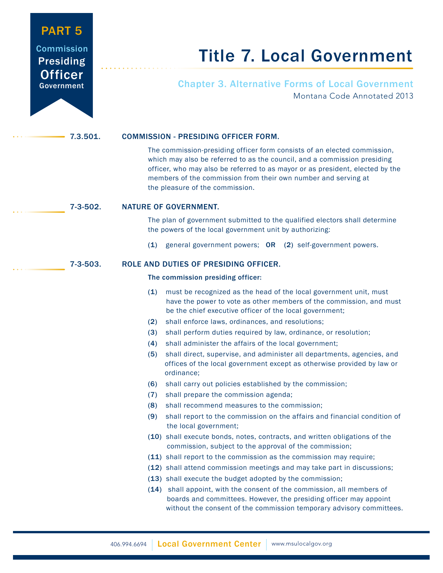## PART 5 **Commission Presiding Officer** Government

# Title 7. Local Government

Chapter 3. Alternative Forms of Local Government Montana Code Annotated 2013

#### 7.3.501. COMMISSION - PRESIDING OFFICER FORM.

 The commission-presiding officer form consists of an elected commission, which may also be referred to as the council, and a commission presiding officer, who may also be referred to as mayor or as president, elected by the members of the commission from their own number and serving at the pleasure of the commission.

### 7-3-502. NATURE OF GOVERNMENT.

 The plan of government submitted to the qualified electors shall determine the powers of the local government unit by authorizing:

(1) general government powers; OR (2) self-government powers.

7-3-503. ROLE AND DUTIES OF PRESIDING OFFICER.

#### The commission presiding officer:

- (1) must be recognized as the head of the local government unit, must have the power to vote as other members of the commission, and must be the chief executive officer of the local government;
- (2) shall enforce laws, ordinances, and resolutions;
- (3) shall perform duties required by law, ordinance, or resolution;
- (4) shall administer the affairs of the local government;
- (5) shall direct, supervise, and administer all departments, agencies, and offices of the local government except as otherwise provided by law or ordinance;
- (6) shall carry out policies established by the commission;
- (7) shall prepare the commission agenda;
- (8) shall recommend measures to the commission;
- (9) shall report to the commission on the affairs and financial condition of the local government;
- (10) shall execute bonds, notes, contracts, and written obligations of the commission, subject to the approval of the commission;
- (11) shall report to the commission as the commission may require;
- (12) shall attend commission meetings and may take part in discussions;
- (13) shall execute the budget adopted by the commission;
- (14) shall appoint, with the consent of the commission, all members of boards and committees. However, the presiding officer may appoint without the consent of the commission temporary advisory committees.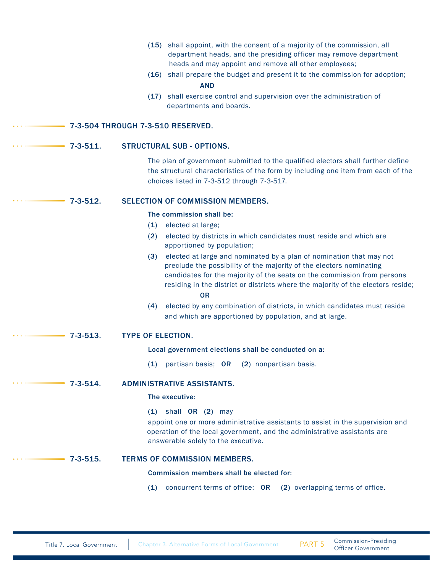|                 | (15) shall appoint, with the consent of a majority of the commission, all<br>department heads, and the presiding officer may remove department<br>heads and may appoint and remove all other employees;<br>(16) shall prepare the budget and present it to the commission for adoption;<br><b>AND</b><br>(17) shall exercise control and supervision over the administration of<br>departments and boards. |
|-----------------|------------------------------------------------------------------------------------------------------------------------------------------------------------------------------------------------------------------------------------------------------------------------------------------------------------------------------------------------------------------------------------------------------------|
|                 | 7-3-504 THROUGH 7-3-510 RESERVED.                                                                                                                                                                                                                                                                                                                                                                          |
|                 |                                                                                                                                                                                                                                                                                                                                                                                                            |
| $7 - 3 - 511$ . | <b>STRUCTURAL SUB - OPTIONS.</b>                                                                                                                                                                                                                                                                                                                                                                           |
|                 | The plan of government submitted to the qualified electors shall further define<br>the structural characteristics of the form by including one item from each of the<br>choices listed in 7-3-512 through 7-3-517.                                                                                                                                                                                         |
| $7 - 3 - 512.$  | <b>SELECTION OF COMMISSION MEMBERS.</b>                                                                                                                                                                                                                                                                                                                                                                    |
|                 | The commission shall be:                                                                                                                                                                                                                                                                                                                                                                                   |
|                 | elected at large;<br>(1)                                                                                                                                                                                                                                                                                                                                                                                   |
|                 | elected by districts in which candidates must reside and which are<br>(2)<br>apportioned by population;                                                                                                                                                                                                                                                                                                    |
|                 | elected at large and nominated by a plan of nomination that may not<br>(3)<br>preclude the possibility of the majority of the electors nominating<br>candidates for the majority of the seats on the commission from persons<br>residing in the district or districts where the majority of the electors reside;<br><b>OR</b>                                                                              |
|                 | elected by any combination of districts, in which candidates must reside<br>(4)<br>and which are apportioned by population, and at large.                                                                                                                                                                                                                                                                  |
| $7 - 3 - 513.$  | <b>TYPE OF ELECTION.</b>                                                                                                                                                                                                                                                                                                                                                                                   |
|                 | Local government elections shall be conducted on a:                                                                                                                                                                                                                                                                                                                                                        |
|                 | (1)<br>partisan basis; OR (2) nonpartisan basis.                                                                                                                                                                                                                                                                                                                                                           |
| $7 - 3 - 514.$  | <b>ADMINISTRATIVE ASSISTANTS.</b>                                                                                                                                                                                                                                                                                                                                                                          |
|                 | The executive:                                                                                                                                                                                                                                                                                                                                                                                             |
|                 | $(1)$ shall OR $(2)$ may<br>appoint one or more administrative assistants to assist in the supervision and<br>operation of the local government, and the administrative assistants are<br>answerable solely to the executive.                                                                                                                                                                              |
| $7 - 3 - 515.$  | <b>TERMS OF COMMISSION MEMBERS.</b>                                                                                                                                                                                                                                                                                                                                                                        |
|                 | Commission members shall be elected for:                                                                                                                                                                                                                                                                                                                                                                   |
|                 | concurrent terms of office; OR (2) overlapping terms of office.<br>(1)                                                                                                                                                                                                                                                                                                                                     |